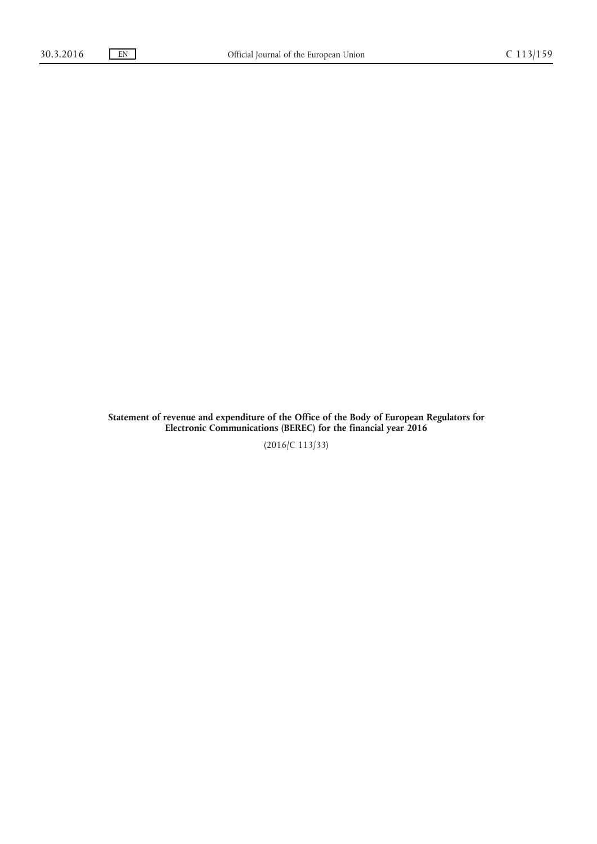**Statement of revenue and expenditure of the Office of the Body of European Regulators for Electronic Communications (BEREC) for the financial year 2016**

(2016/C 113/33)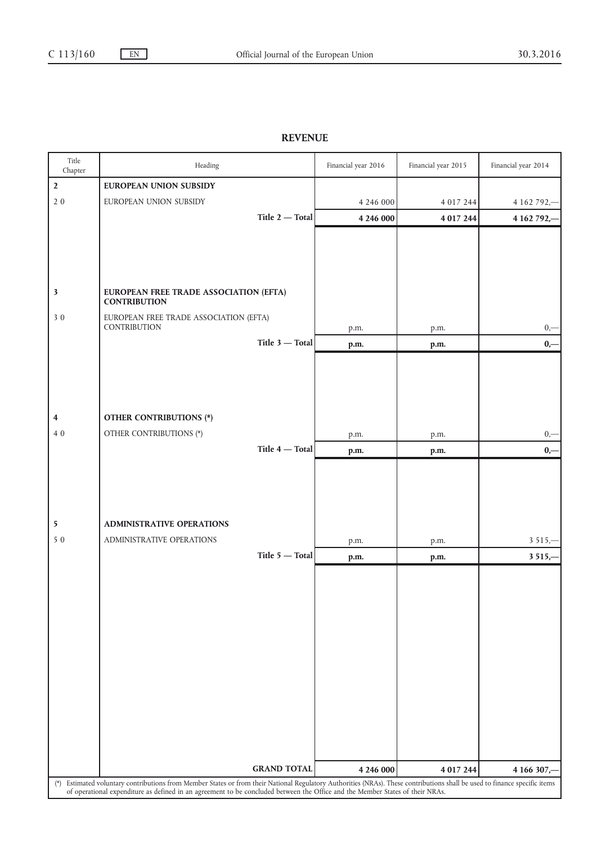## **REVENUE**

| Title<br>Chapter | Heading                                                                                                                                                                                                                                                                                                     | Financial year 2016 | Financial year 2015 | Financial year 2014 |  |  |
|------------------|-------------------------------------------------------------------------------------------------------------------------------------------------------------------------------------------------------------------------------------------------------------------------------------------------------------|---------------------|---------------------|---------------------|--|--|
| $\mathbf{2}$     | EUROPEAN UNION SUBSIDY                                                                                                                                                                                                                                                                                      |                     |                     |                     |  |  |
| 20               | EUROPEAN UNION SUBSIDY                                                                                                                                                                                                                                                                                      | 4 2 4 6 0 0 0       | 4 0 1 7 2 4 4       | 4 162 792,-         |  |  |
|                  | Title 2 - Total                                                                                                                                                                                                                                                                                             | 4 246 000           | 4 017 244           | 4 162 792,-         |  |  |
|                  |                                                                                                                                                                                                                                                                                                             |                     |                     |                     |  |  |
|                  |                                                                                                                                                                                                                                                                                                             |                     |                     |                     |  |  |
|                  |                                                                                                                                                                                                                                                                                                             |                     |                     |                     |  |  |
|                  | EUROPEAN FREE TRADE ASSOCIATION (EFTA)                                                                                                                                                                                                                                                                      |                     |                     |                     |  |  |
| $\mathbf{3}$     | <b>CONTRIBUTION</b>                                                                                                                                                                                                                                                                                         |                     |                     |                     |  |  |
| 30               | EUROPEAN FREE TRADE ASSOCIATION (EFTA)                                                                                                                                                                                                                                                                      |                     |                     |                     |  |  |
|                  | CONTRIBUTION<br>Title $3$ - Total                                                                                                                                                                                                                                                                           | p.m.                | p.m.                | $0,-$               |  |  |
|                  |                                                                                                                                                                                                                                                                                                             | p.m.                | p.m.                | $0,-$               |  |  |
|                  |                                                                                                                                                                                                                                                                                                             |                     |                     |                     |  |  |
|                  |                                                                                                                                                                                                                                                                                                             |                     |                     |                     |  |  |
|                  |                                                                                                                                                                                                                                                                                                             |                     |                     |                     |  |  |
| 4                | <b>OTHER CONTRIBUTIONS (*)</b>                                                                                                                                                                                                                                                                              |                     |                     |                     |  |  |
| 40               | OTHER CONTRIBUTIONS (*)                                                                                                                                                                                                                                                                                     | p.m.                | p.m.                | $0, -$              |  |  |
|                  | Title $4$ – Total                                                                                                                                                                                                                                                                                           | p.m.                | p.m.                | $0,-$               |  |  |
|                  |                                                                                                                                                                                                                                                                                                             |                     |                     |                     |  |  |
|                  |                                                                                                                                                                                                                                                                                                             |                     |                     |                     |  |  |
|                  |                                                                                                                                                                                                                                                                                                             |                     |                     |                     |  |  |
| 5                | <b>ADMINISTRATIVE OPERATIONS</b>                                                                                                                                                                                                                                                                            |                     |                     |                     |  |  |
| 50               | ADMINISTRATIVE OPERATIONS                                                                                                                                                                                                                                                                                   | p.m.                | p.m.                | $3515 -$            |  |  |
|                  | Title $5 -$ Total                                                                                                                                                                                                                                                                                           | p.m.                | p.m.                | $3515,-$            |  |  |
|                  |                                                                                                                                                                                                                                                                                                             |                     |                     |                     |  |  |
|                  |                                                                                                                                                                                                                                                                                                             |                     |                     |                     |  |  |
|                  |                                                                                                                                                                                                                                                                                                             |                     |                     |                     |  |  |
|                  |                                                                                                                                                                                                                                                                                                             |                     |                     |                     |  |  |
|                  |                                                                                                                                                                                                                                                                                                             |                     |                     |                     |  |  |
|                  |                                                                                                                                                                                                                                                                                                             |                     |                     |                     |  |  |
|                  |                                                                                                                                                                                                                                                                                                             |                     |                     |                     |  |  |
|                  |                                                                                                                                                                                                                                                                                                             |                     |                     |                     |  |  |
|                  |                                                                                                                                                                                                                                                                                                             |                     |                     |                     |  |  |
|                  |                                                                                                                                                                                                                                                                                                             |                     |                     |                     |  |  |
|                  |                                                                                                                                                                                                                                                                                                             |                     |                     |                     |  |  |
|                  | <b>GRAND TOTAL</b><br>4 246 000<br>4 017 244<br>4 166 307,-                                                                                                                                                                                                                                                 |                     |                     |                     |  |  |
|                  | (*) Estimated voluntary contributions from Member States or from their National Regulatory Authorities (NRAs). These contributions shall be used to finance specific items<br>of operational expenditure as defined in an agreement to be concluded between the Office and the Member States of their NRAs. |                     |                     |                     |  |  |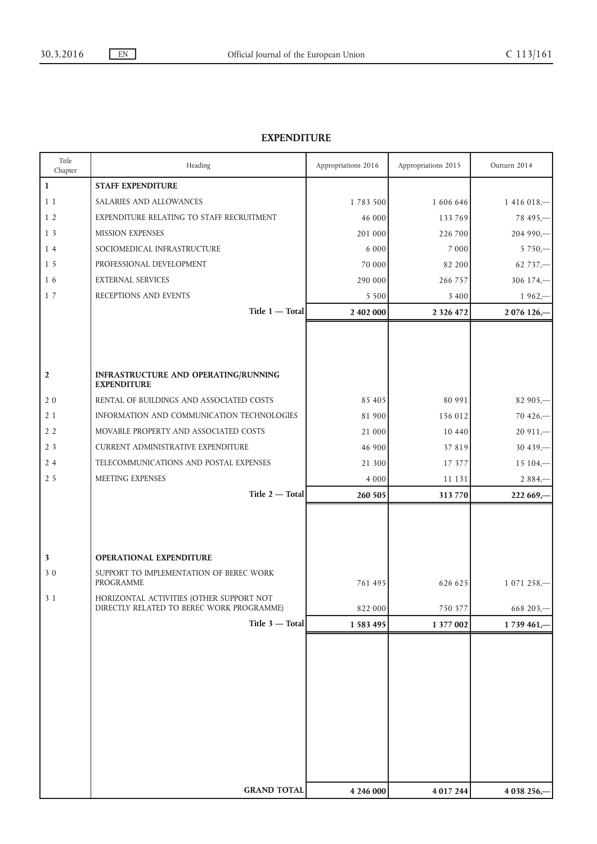## **EXPENDITURE**

| Title<br>Chapter        | Heading                                                                               | Appropriations 2016 | Appropriations 2015 | Outturn 2014 |
|-------------------------|---------------------------------------------------------------------------------------|---------------------|---------------------|--------------|
| $\mathbf{1}$            | <b>STAFF EXPENDITURE</b>                                                              |                     |                     |              |
| 1 1                     | SALARIES AND ALLOWANCES                                                               | 1783500             | 1 606 646           | $1416018-$   |
| 1 <sub>2</sub>          | EXPENDITURE RELATING TO STAFF RECRUITMENT                                             | 46 000              | 133 769             | $78495 -$    |
| 13                      | <b>MISSION EXPENSES</b>                                                               | 201 000             | 226 700             | $204990 -$   |
| 14                      | SOCIOMEDICAL INFRASTRUCTURE                                                           | 6 0 0 0             | 7 0 0 0             | $5750 -$     |
| 15                      | PROFESSIONAL DEVELOPMENT                                                              | 70 000              | 82 200              | $62737 -$    |
| 16                      | <b>EXTERNAL SERVICES</b>                                                              | 290 000             | 266 757             | $306174 -$   |
| 17                      | RECEPTIONS AND EVENTS                                                                 | 5 5 0 0             | 3 4 0 0             | $1962 -$     |
|                         | $Title 1 - Total$                                                                     | 2 402 000           | 2 3 2 6 4 7 2       | 2 076 126,-  |
|                         |                                                                                       |                     |                     |              |
|                         |                                                                                       |                     |                     |              |
|                         |                                                                                       |                     |                     |              |
| $\overline{2}$          | INFRASTRUCTURE AND OPERATING/RUNNING<br><b>EXPENDITURE</b>                            |                     |                     |              |
| 20                      | RENTAL OF BUILDINGS AND ASSOCIATED COSTS                                              | 85 405              | 80 991              | $82905 -$    |
| 21                      | INFORMATION AND COMMUNICATION TECHNOLOGIES                                            | 81 900              | 156 012             | $70426 -$    |
| 2 <sub>2</sub>          | MOVABLE PROPERTY AND ASSOCIATED COSTS                                                 | 21 000              | 10 440              | $20911 -$    |
| 2 <sub>3</sub>          | <b>CURRENT ADMINISTRATIVE EXPENDITURE</b>                                             | 46 900              | 37 819              | $30439 -$    |
| 24                      | TELECOMMUNICATIONS AND POSTAL EXPENSES                                                | 21 300              | 17 377              | $15104, -$   |
| 2 5                     | MEETING EXPENSES                                                                      | 4 0 0 0             | 11 131              | $2884 -$     |
|                         | Title 2 - Total                                                                       | 260 505             | 313 770             | 222 669,-    |
|                         |                                                                                       |                     |                     |              |
|                         |                                                                                       |                     |                     |              |
|                         |                                                                                       |                     |                     |              |
| $\overline{\mathbf{3}}$ | <b>OPERATIONAL EXPENDITURE</b>                                                        |                     |                     |              |
| 30                      | SUPPORT TO IMPLEMENTATION OF BEREC WORK                                               |                     |                     |              |
|                         | PROGRAMME                                                                             | 761 495             | 626 625             | 1 071 258,-  |
| 3 1                     | HORIZONTAL ACTIVITIES (OTHER SUPPORT NOT<br>DIRECTLY RELATED TO BEREC WORK PROGRAMME) | 822 000             | 750 377             | 668 203,-    |
|                         | Title 3 - Total                                                                       | 1 583 495           | 1 377 002           | 1739 461,    |
|                         |                                                                                       |                     |                     |              |
|                         |                                                                                       |                     |                     |              |
|                         |                                                                                       |                     |                     |              |
|                         |                                                                                       |                     |                     |              |
|                         |                                                                                       |                     |                     |              |
|                         |                                                                                       |                     |                     |              |
|                         |                                                                                       |                     |                     |              |
|                         |                                                                                       |                     |                     |              |
|                         |                                                                                       |                     |                     |              |
|                         |                                                                                       |                     |                     |              |
|                         | <b>GRAND TOTAL</b>                                                                    | 4 246 000           | 4 017 244           | 4 038 256,-  |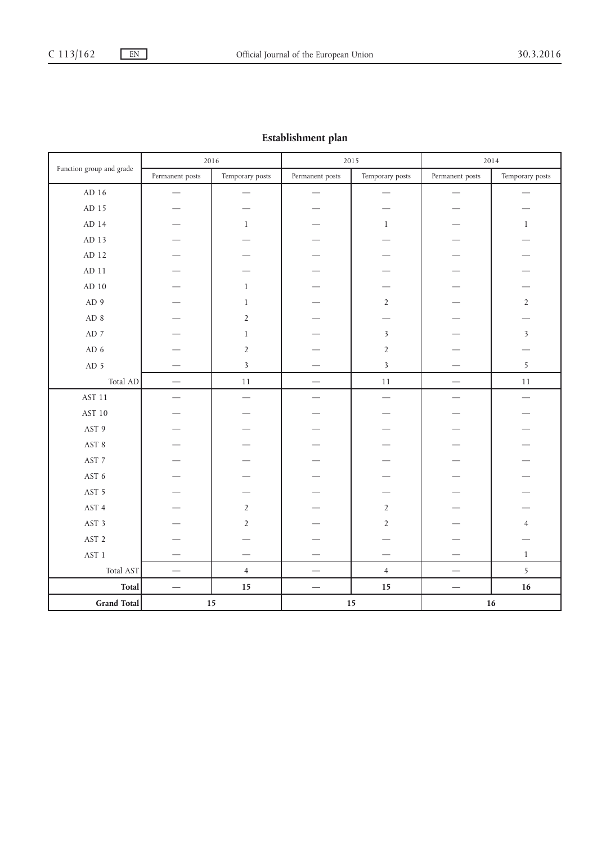## **Establishment plan**

|                              |                          | 2016                    | 2015                     |                         | 2014                          |                         |
|------------------------------|--------------------------|-------------------------|--------------------------|-------------------------|-------------------------------|-------------------------|
| Function group and grade     | Permanent posts          | Temporary posts         | Permanent posts          | Temporary posts         | Permanent posts               | Temporary posts         |
| AD 16                        |                          |                         |                          |                         |                               |                         |
| AD 15                        |                          |                         |                          |                         |                               |                         |
| AD 14                        |                          | $\mathbf{1}$            |                          | $\mathbf{1}$            |                               | $\mathbf{1}$            |
| AD 13                        |                          |                         |                          |                         |                               |                         |
| AD 12                        |                          |                         |                          |                         |                               |                         |
| $AD$ 11                      |                          |                         |                          |                         |                               |                         |
| $\mbox{AD}$ $10$             |                          | $\mathbf{1}$            |                          |                         |                               |                         |
| AD 9                         |                          | $\mathbf{1}$            |                          | $\overline{2}$          |                               | $\overline{2}$          |
| AD 8                         |                          | $\overline{2}$          |                          |                         |                               |                         |
| $\mbox{AD}$ 7                |                          | $\mathbf{1}$            |                          | $\overline{\mathbf{3}}$ |                               | $\overline{\mathbf{3}}$ |
| AD 6                         |                          | $\overline{2}$          |                          | $\sqrt{2}$              |                               |                         |
| AD 5                         |                          | $\overline{\mathbf{3}}$ |                          | $\overline{\mathbf{3}}$ |                               | 5                       |
| Total AD                     |                          | $11\,$                  |                          | $11\,$                  |                               | $11\,$                  |
| AST 11                       |                          |                         |                          |                         | $\overline{\phantom{0}}$      |                         |
| AST 10                       |                          |                         |                          |                         |                               |                         |
| AST 9                        |                          |                         |                          |                         |                               |                         |
| $\operatorname{AST}$ 8       |                          |                         |                          |                         |                               |                         |
| AST $\rm 7$                  |                          |                         |                          |                         |                               |                         |
| AST $\boldsymbol{6}$         |                          |                         |                          |                         |                               |                         |
| AST 5                        |                          |                         |                          |                         |                               |                         |
| AST 4                        |                          | $\overline{2}$          |                          | $2\,$                   |                               |                         |
| AST 3                        |                          | $\overline{2}$          |                          | $\overline{2}$          |                               | $\overline{4}$          |
| AST <sub>2</sub>             |                          |                         |                          |                         |                               |                         |
| AST <sub>1</sub>             |                          |                         |                          |                         |                               | $\mathbf{1}$            |
| Total AST                    | $\overline{\phantom{m}}$ | $\overline{4}$          | $\overline{\phantom{0}}$ | $\overline{4}$          | $\overbrace{\phantom{12333}}$ | 5                       |
| <b>Total</b>                 |                          | 15                      |                          | 15                      |                               | 16                      |
| <b>Grand Total</b><br>$15\,$ |                          |                         | $15\,$                   |                         | 16                            |                         |